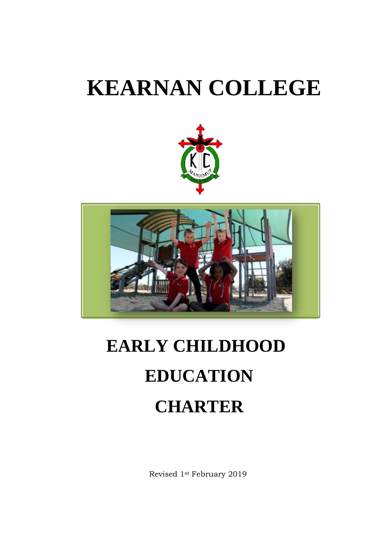# **KEARNAN COLLEGE**





# **EARLY CHILDHOOD EDUCATION CHARTER**

Revised 1st February 2019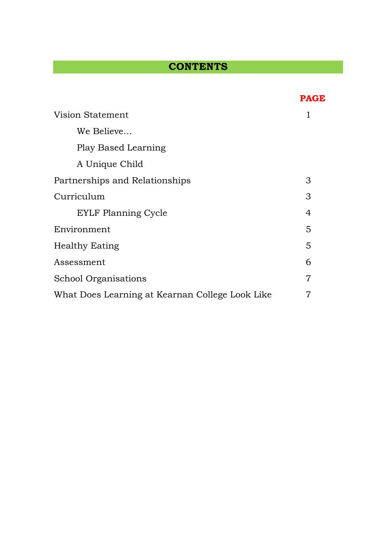## **CONTENTS**

|                                                 | <b>PAGE</b> |
|-------------------------------------------------|-------------|
| Vision Statement                                |             |
| We Believe                                      |             |
| Play Based Learning                             |             |
| A Unique Child                                  |             |
| Partnerships and Relationships                  |             |
| Curriculum                                      |             |
| <b>EYLF Planning Cycle</b>                      | 4           |
| Environment                                     |             |
| <b>Healthy Eating</b>                           |             |
| Assessment                                      |             |
| <b>School Organisations</b>                     |             |
| What Does Learning at Kearnan College Look Like |             |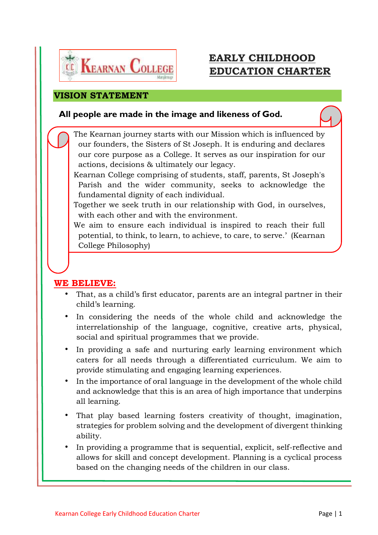

## **EARLY CHILDHOOD EDUCATION CHARTER**

#### **VISION STATEMENT**

## **All people are made in the image and likeness of God.**

The Kearnan journey starts with our Mission which is influenced by our founders, the Sisters of St Joseph. It is enduring and declares our core purpose as a College. It serves as our inspiration for our actions, decisions & ultimately our legacy.

Kearnan College comprising of students, staff, parents, St Joseph's Parish and the wider community, seeks to acknowledge the fundamental dignity of each individual.

Together we seek truth in our relationship with God, in ourselves, with each other and with the environment.

We aim to ensure each individual is inspired to reach their full potential, to think, to learn, to achieve, to care, to serve.' (Kearnan College Philosophy)

## **WE BELIEVE:**

- That, as a child's first educator, parents are an integral partner in their child's learning.
- In considering the needs of the whole child and acknowledge the interrelationship of the language, cognitive, creative arts, physical, social and spiritual programmes that we provide.
- In providing a safe and nurturing early learning environment which caters for all needs through a differentiated curriculum. We aim to provide stimulating and engaging learning experiences.
- In the importance of oral language in the development of the whole child and acknowledge that this is an area of high importance that underpins all learning.
- That play based learning fosters creativity of thought, imagination, strategies for problem solving and the development of divergent thinking ability.
- In providing a programme that is sequential, explicit, self-reflective and allows for skill and concept development. Planning is a cyclical process based on the changing needs of the children in our class.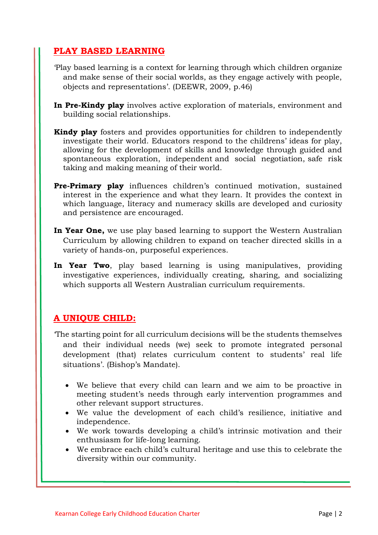## **PLAY BASED LEARNING**

- 'Play based learning is a context for learning through which children organize and make sense of their social worlds, as they engage actively with people, objects and representations'. (DEEWR, 2009, p.46)
- **In Pre-Kindy play** involves active exploration of materials, environment and building social relationships.
- **Kindy play** fosters and provides opportunities for children to independently investigate their world. Educators respond to the childrens' ideas for play, allowing for the development of skills and knowledge through guided and spontaneous exploration, independent and social negotiation, safe risk taking and making meaning of their world.
- **Pre-Primary play** influences children's continued motivation, sustained interest in the experience and what they learn. It provides the context in which language, literacy and numeracy skills are developed and curiosity and persistence are encouraged.
- **In Year One,** we use play based learning to support the Western Australian Curriculum by allowing children to expand on teacher directed skills in a variety of hands-on, purposeful experiences.
- **In Year Two**, play based learning is using manipulatives, providing investigative experiences, individually creating, sharing, and socializing which supports all Western Australian curriculum requirements.

## **A UNIQUE CHILD:**

- 'The starting point for all curriculum decisions will be the students themselves and their individual needs (we) seek to promote integrated personal development (that) relates curriculum content to students' real life situations'. (Bishop's Mandate).
	- We believe that every child can learn and we aim to be proactive in meeting student's needs through early intervention programmes and other relevant support structures.
	- We value the development of each child's resilience, initiative and independence.
	- We work towards developing a child's intrinsic motivation and their enthusiasm for life-long learning.
	- We embrace each child's cultural heritage and use this to celebrate the diversity within our community.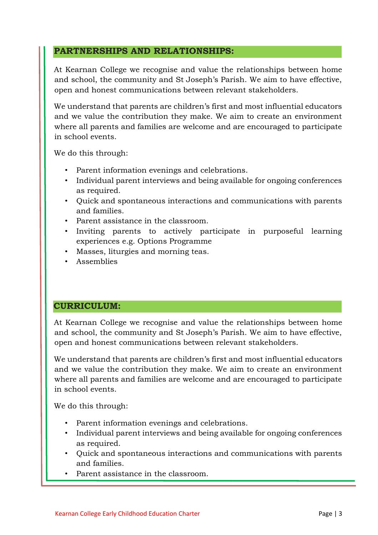## **PARTNERSHIPS AND RELATIONSHIPS:**

At Kearnan College we recognise and value the relationships between home and school, the community and St Joseph's Parish. We aim to have effective, open and honest communications between relevant stakeholders.

We understand that parents are children's first and most influential educators and we value the contribution they make. We aim to create an environment where all parents and families are welcome and are encouraged to participate in school events.

We do this through:

- Parent information evenings and celebrations.
- Individual parent interviews and being available for ongoing conferences as required.
- Quick and spontaneous interactions and communications with parents and families.
- Parent assistance in the classroom.
- Inviting parents to actively participate in purposeful learning experiences e.g. Options Programme
- Masses, liturgies and morning teas.
- Assemblies

#### **CURRICULUM:**

At Kearnan College we recognise and value the relationships between home and school, the community and St Joseph's Parish. We aim to have effective, open and honest communications between relevant stakeholders.

We understand that parents are children's first and most influential educators and we value the contribution they make. We aim to create an environment where all parents and families are welcome and are encouraged to participate in school events.

We do this through:

- Parent information evenings and celebrations.
- Individual parent interviews and being available for ongoing conferences as required.
- Quick and spontaneous interactions and communications with parents and families.
- Parent assistance in the classroom.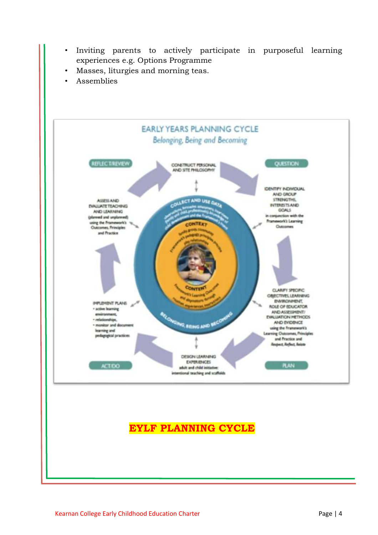- Inviting parents to actively participate in purposeful learning experiences e.g. Options Programme
- Masses, liturgies and morning teas.
- Assemblies

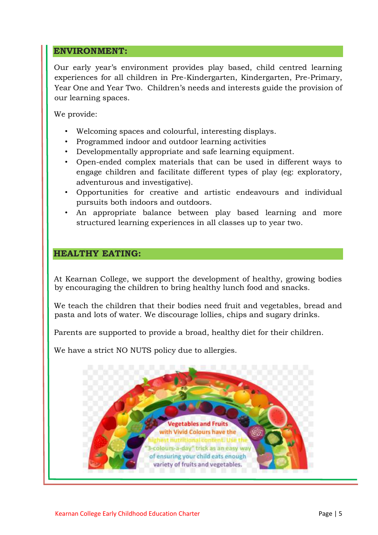#### **ENVIRONMENT:**

Our early year's environment provides play based, child centred learning experiences for all children in Pre-Kindergarten, Kindergarten, Pre-Primary, Year One and Year Two. Children's needs and interests guide the provision of our learning spaces.

We provide:

- Welcoming spaces and colourful, interesting displays.
- Programmed indoor and outdoor learning activities
- Developmentally appropriate and safe learning equipment.
- Open-ended complex materials that can be used in different ways to engage children and facilitate different types of play (eg: exploratory, adventurous and investigative).
- Opportunities for creative and artistic endeavours and individual pursuits both indoors and outdoors.
- An appropriate balance between play based learning and more structured learning experiences in all classes up to year two.

#### **HEALTHY EATING:**

At Kearnan College, we support the development of healthy, growing bodies by encouraging the children to bring healthy lunch food and snacks.

We teach the children that their bodies need fruit and vegetables, bread and pasta and lots of water. We discourage lollies, chips and sugary drinks.

Parents are supported to provide a broad, healthy diet for their children.

We have a strict NO NUTS policy due to allergies.

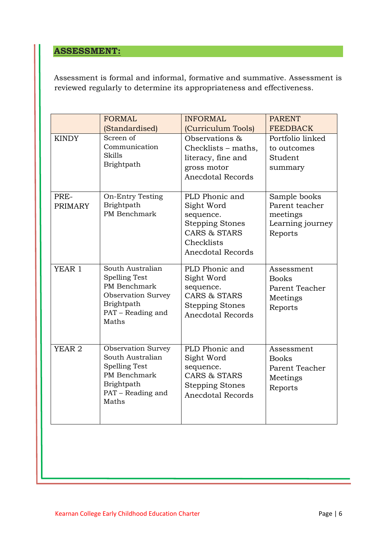## **ASSESSMENT:**

Assessment is formal and informal, formative and summative. Assessment is reviewed regularly to determine its appropriateness and effectiveness.

|                        | <b>FORMAL</b><br>(Standardised)                                                                                                   | <b>INFORMAL</b><br>(Curriculum Tools)                                                                                         | <b>PARENT</b><br><b>FEEDBACK</b>                                          |
|------------------------|-----------------------------------------------------------------------------------------------------------------------------------|-------------------------------------------------------------------------------------------------------------------------------|---------------------------------------------------------------------------|
| <b>KINDY</b>           | Screen of<br>Communication<br><b>Skills</b><br>Brightpath                                                                         | Observations &<br>Checklists - maths,<br>literacy, fine and<br>gross motor<br><b>Anecdotal Records</b>                        | Portfolio linked<br>to outcomes<br>Student<br>summary                     |
| PRE-<br><b>PRIMARY</b> | <b>On-Entry Testing</b><br>Brightpath<br>PM Benchmark                                                                             | PLD Phonic and<br>Sight Word<br>sequence.<br><b>Stepping Stones</b><br>CARS & STARS<br>Checklists<br><b>Anecdotal Records</b> | Sample books<br>Parent teacher<br>meetings<br>Learning journey<br>Reports |
| YEAR 1                 | South Australian<br><b>Spelling Test</b><br>PM Benchmark<br><b>Observation Survey</b><br>Brightpath<br>PAT – Reading and<br>Maths | PLD Phonic and<br>Sight Word<br>sequence.<br>CARS & STARS<br><b>Stepping Stones</b><br><b>Anecdotal Records</b>               | Assessment<br><b>Books</b><br>Parent Teacher<br>Meetings<br>Reports       |
| YEAR <sub>2</sub>      | <b>Observation Survey</b><br>South Australian<br><b>Spelling Test</b><br>PM Benchmark<br>Brightpath<br>PAT - Reading and<br>Maths | PLD Phonic and<br>Sight Word<br>sequence.<br><b>CARS &amp; STARS</b><br><b>Stepping Stones</b><br><b>Anecdotal Records</b>    | Assessment<br><b>Books</b><br>Parent Teacher<br>Meetings<br>Reports       |